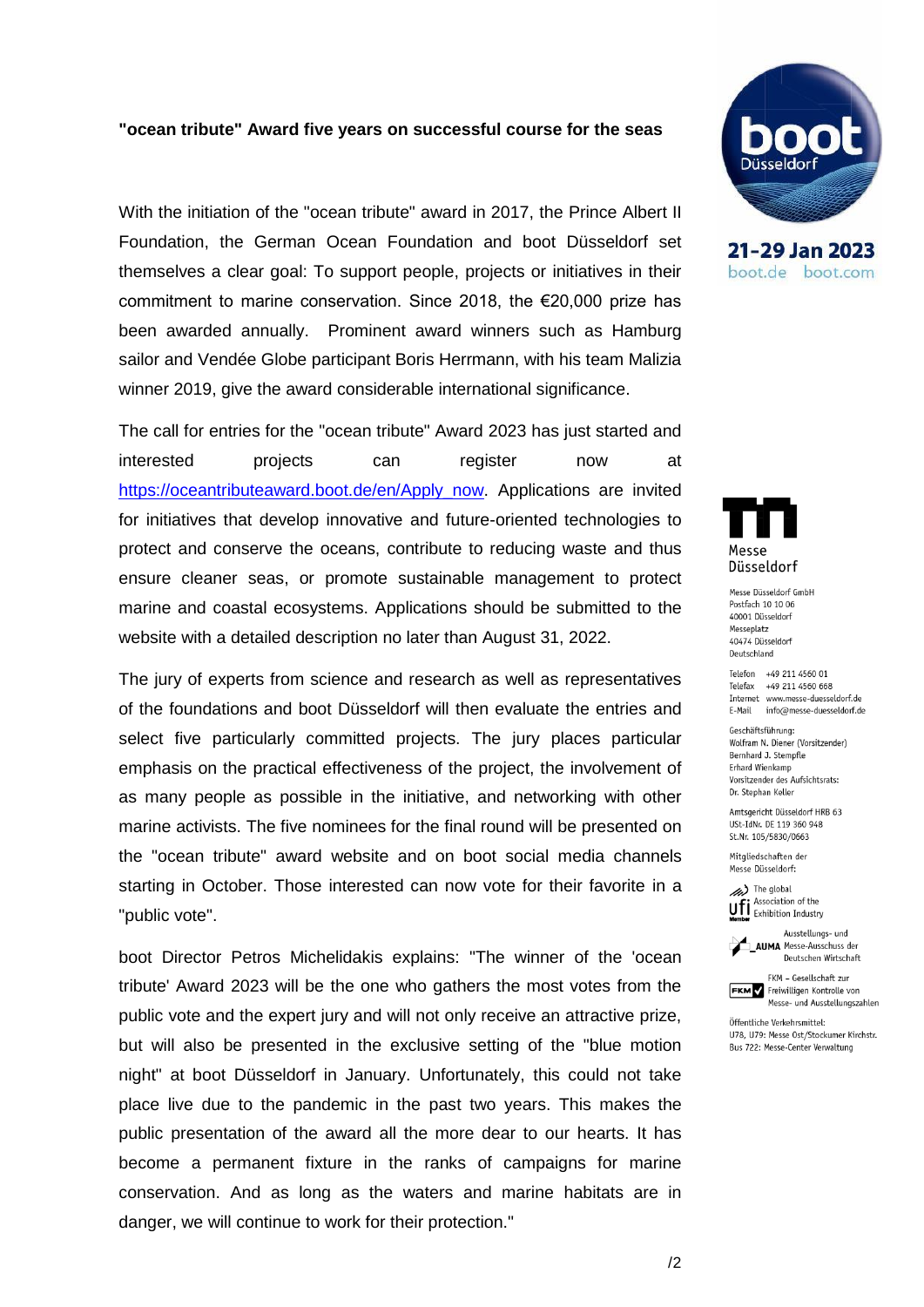#### **"ocean tribute" Award five years on successful course for the seas**

With the initiation of the "ocean tribute" award in 2017, the Prince Albert II Foundation, the German Ocean Foundation and boot Düsseldorf set themselves a clear goal: To support people, projects or initiatives in their commitment to marine conservation. Since 2018, the €20,000 prize has been awarded annually. Prominent award winners such as Hamburg sailor and Vendée Globe participant Boris Herrmann, with his team Malizia winner 2019, give the award considerable international significance.

The call for entries for the "ocean tribute" Award 2023 has just started and interested projects can register now at [https://oceantributeaward.boot.de/en/Apply\\_now.](https://oceantributeaward.boot.de/en/Apply_now) Applications are invited for initiatives that develop innovative and future-oriented technologies to protect and conserve the oceans, contribute to reducing waste and thus ensure cleaner seas, or promote sustainable management to protect marine and coastal ecosystems. Applications should be submitted to the website with a detailed description no later than August 31, 2022.

The jury of experts from science and research as well as representatives of the foundations and boot Düsseldorf will then evaluate the entries and select five particularly committed projects. The jury places particular emphasis on the practical effectiveness of the project, the involvement of as many people as possible in the initiative, and networking with other marine activists. The five nominees for the final round will be presented on the "ocean tribute" award website and on boot social media channels starting in October. Those interested can now vote for their favorite in a "public vote".

boot Director Petros Michelidakis explains: "The winner of the 'ocean tribute' Award 2023 will be the one who gathers the most votes from the public vote and the expert jury and will not only receive an attractive prize, but will also be presented in the exclusive setting of the "blue motion night" at boot Düsseldorf in January. Unfortunately, this could not take place live due to the pandemic in the past two years. This makes the public presentation of the award all the more dear to our hearts. It has become a permanent fixture in the ranks of campaigns for marine conservation. And as long as the waters and marine habitats are in danger, we will continue to work for their protection."



21-29 Jan 2023 boot.de boot.com



Messe Düsseldorf GmbH Postfach 10 10 06 40001 Düsseldorf Messeplatz 40474 Düsseldorf Deutschland

Telefon +49 211 4560 01 Telefax +49 211 4560 668 Internet www.messe-duesseldorf.de E-Mail info@messe-duesseldorf.de

Geschäftsführung: Wolfram N. Diener (Vorsitzender) Bernhard J. Stempfle Erhard Wienkamp Vorsitzender des Aufsichtsrats: Dr. Stephan Keller

Amtsgericht Düsseldorf HRB 63 USt-IdNr. DE 119 360 948 St.Nr. 105/5830/0663

Mitaliedschaften der Messe Düsseldorf:

The global Ufi Association of the



FKM - Gesellschaft zur **FKM** Freiwilligen Kontrolle von

Messe- und Ausstellungszahlen Öffentliche Verkehrsmittel: U78, U79: Messe Ost/Stockumer Kirchstr.

Bus 722: Messe-Center Verwaltung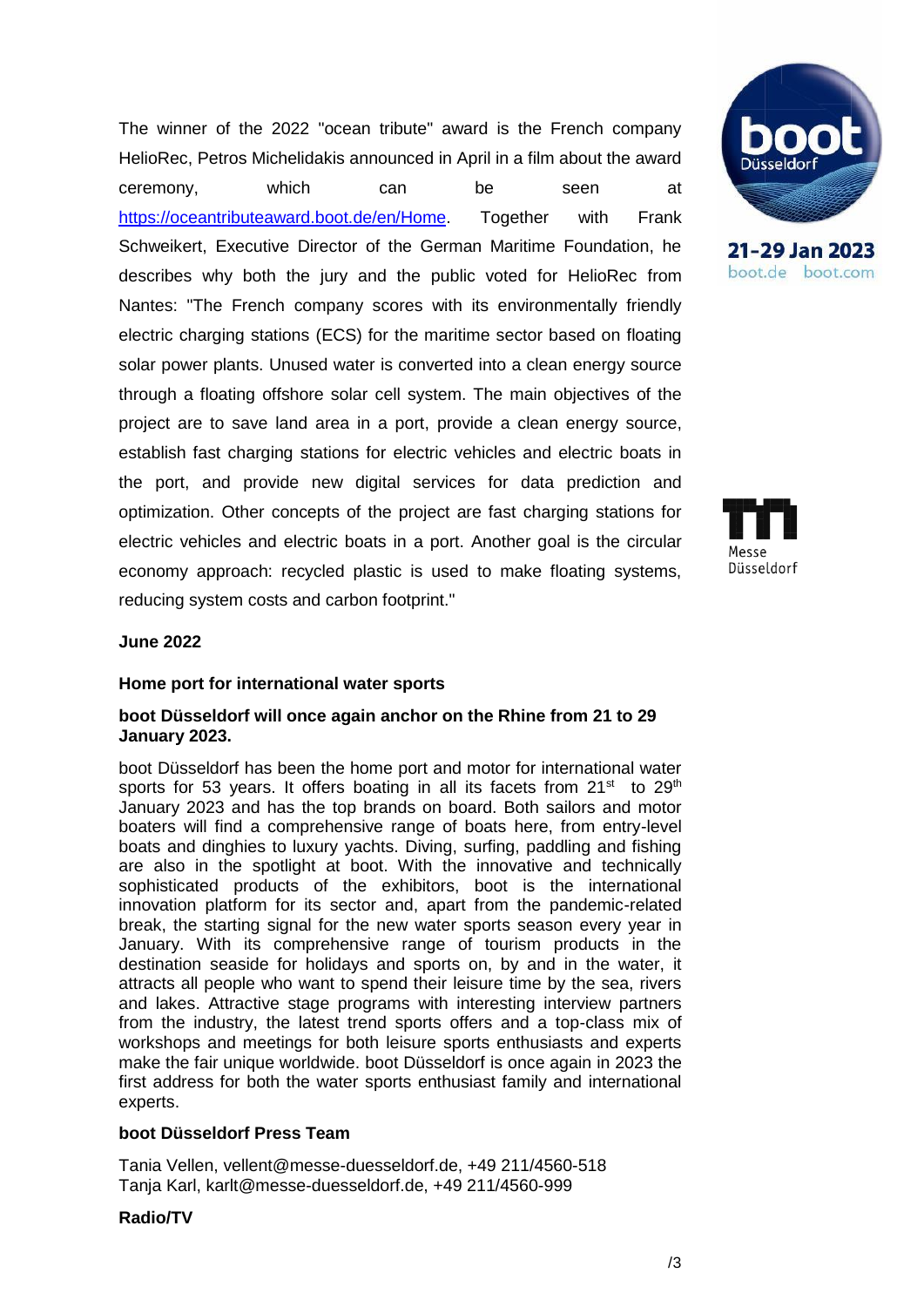The winner of the 2022 "ocean tribute" award is the French company HelioRec, Petros Michelidakis announced in April in a film about the award ceremony, which can be seen at [https://oceantributeaward.boot.de/en/Home.](https://oceantributeaward.boot.de/en/Home) Together with Frank Schweikert, Executive Director of the German Maritime Foundation, he describes why both the jury and the public voted for HelioRec from Nantes: "The French company scores with its environmentally friendly electric charging stations (ECS) for the maritime sector based on floating solar power plants. Unused water is converted into a clean energy source through a floating offshore solar cell system. The main objectives of the project are to save land area in a port, provide a clean energy source, establish fast charging stations for electric vehicles and electric boats in the port, and provide new digital services for data prediction and optimization. Other concepts of the project are fast charging stations for electric vehicles and electric boats in a port. Another goal is the circular economy approach: recycled plastic is used to make floating systems, reducing system costs and carbon footprint."



21-29 Jan 2023 boot.de boot.com



## **June 2022**

#### **Home port for international water sports**

## **boot Düsseldorf will once again anchor on the Rhine from 21 to 29 January 2023.**

boot Düsseldorf has been the home port and motor for international water sports for 53 years. It offers boating in all its facets from 21<sup>st</sup> to 29<sup>th</sup> January 2023 and has the top brands on board. Both sailors and motor boaters will find a comprehensive range of boats here, from entry-level boats and dinghies to luxury yachts. Diving, surfing, paddling and fishing are also in the spotlight at boot. With the innovative and technically sophisticated products of the exhibitors, boot is the international innovation platform for its sector and, apart from the pandemic-related break, the starting signal for the new water sports season every year in January. With its comprehensive range of tourism products in the destination seaside for holidays and sports on, by and in the water, it attracts all people who want to spend their leisure time by the sea, rivers and lakes. Attractive stage programs with interesting interview partners from the industry, the latest trend sports offers and a top-class mix of workshops and meetings for both leisure sports enthusiasts and experts make the fair unique worldwide. boot Düsseldorf is once again in 2023 the first address for both the water sports enthusiast family and international experts.

# **boot Düsseldorf Press Team**

Tania Vellen, vellent@messe-duesseldorf.de, +49 211/4560-518 Tanja Karl, karlt@messe-duesseldorf.de, +49 211/4560-999

### **Radio/TV**